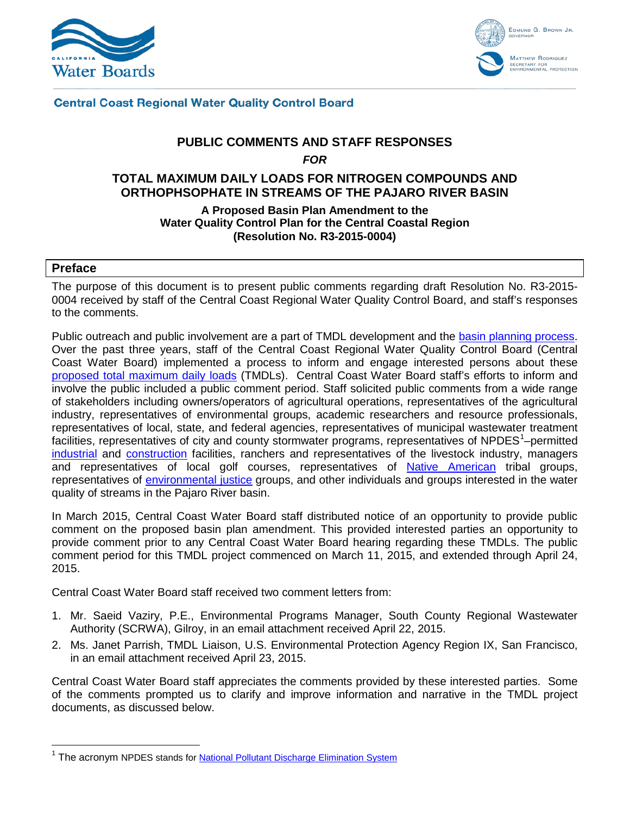



# **Central Coast Regional Water Quality Control Board**

# **PUBLIC COMMENTS AND STAFF RESPONSES**  *FOR* **TOTAL MAXIMUM DAILY LOADS FOR NITROGEN COMPOUNDS AND ORTHOPHSOPHATE IN STREAMS OF THE PAJARO RIVER BASIN**

# **A Proposed Basin Plan Amendment to the Water Quality Control Plan for the Central Coastal Region (Resolution No. R3-2015-0004)**

#### **Preface**

The purpose of this document is to present public comments regarding draft Resolution No. R3-2015- 0004 received by staff of the Central Coast Regional Water Quality Control Board, and staff's responses to the comments.

Public outreach and public involvement are a part of TMDL development and the [basin planning process.](http://www.swrcb.ca.gov/rwqcb2/water_issues/programs/TMDLs/mainpagegraphics/basin_planning_fs.pdf) Over the past three years, staff of the Central Coast Regional Water Quality Control Board (Central Coast Water Board) implemented a process to inform and engage interested persons about these [proposed total maximum daily loads](http://www.waterboards.ca.gov/centralcoast/water_issues/programs/tmdl/docs/pajaro/nutrients/index.shtml) (TMDLs). Central Coast Water Board staff's efforts to inform and involve the public included a public comment period. Staff solicited public comments from a wide range of stakeholders including owners/operators of agricultural operations, representatives of the agricultural industry, representatives of environmental groups, academic researchers and resource professionals, representatives of local, state, and federal agencies, representatives of municipal wastewater treatment facilities, representatives of city and county stormwater programs, representatives of NPDES<sup>[1](#page-0-0)</sup>-permitted [industrial](http://www.waterboards.ca.gov/centralcoast/water_issues/programs/stormwater/industrial.shtml) and [construction](http://www.waterboards.ca.gov/water_issues/programs/stormwater/construction.shtml) facilities, ranchers and representatives of the livestock industry, managers and representatives of local golf courses, representatives of [Native American](http://www.calepa.ca.gov/Tribal/) tribal groups, representatives of [environmental justice](http://www.waterboards.ca.gov/centralcoast/water_issues/programs/enviro_justice/enviro_justice.shtml) groups, and other individuals and groups interested in the water quality of streams in the Pajaro River basin.

In March 2015, Central Coast Water Board staff distributed notice of an opportunity to provide public comment on the proposed basin plan amendment. This provided interested parties an opportunity to provide comment prior to any Central Coast Water Board hearing regarding these TMDLs. The public comment period for this TMDL project commenced on March 11, 2015, and extended through April 24, 2015.

Central Coast Water Board staff received two comment letters from:

- 1. Mr. Saeid Vaziry, P.E., Environmental Programs Manager, South County Regional Wastewater Authority (SCRWA), Gilroy, in an email attachment received April 22, 2015.
- 2. Ms. Janet Parrish, TMDL Liaison, U.S. Environmental Protection Agency Region IX, San Francisco, in an email attachment received April 23, 2015.

Central Coast Water Board staff appreciates the comments provided by these interested parties. Some of the comments prompted us to clarify and improve information and narrative in the TMDL project documents, as discussed below.

<span id="page-0-0"></span><sup>&</sup>lt;sup>1</sup> The acronym NPDES stands for **National Pollutant [Discharge Elimination System](http://water.epa.gov/polwaste/npdes/)**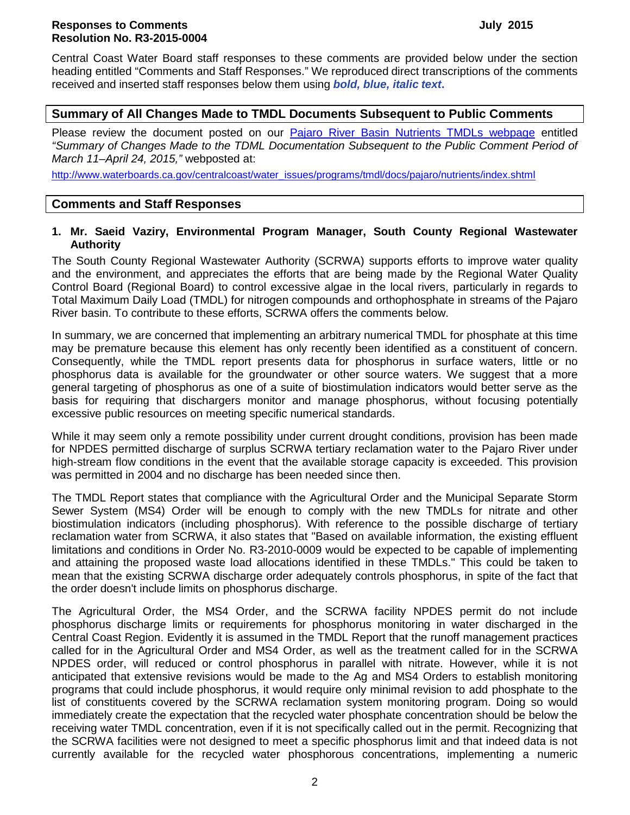# **Responses to Comments July 2015 Resolution No. R3-2015-0004**

Central Coast Water Board staff responses to these comments are provided below under the section heading entitled "Comments and Staff Responses." We reproduced direct transcriptions of the comments received and inserted staff responses below them using *bold, blue, italic text***.**

# **Summary of All Changes Made to TMDL Documents Subsequent to Public Comments**

Please review the document posted on our [Pajaro River Basin Nutrients TMDLs webpage](http://www.waterboards.ca.gov/centralcoast/water_issues/programs/tmdl/docs/pajaro/nutrients/index.shtml) entitled *"Summary of Changes Made to the TDML Documentation Subsequent to the Public Comment Period of March 11–April 24, 2015,"* webposted at:

[http://www.waterboards.ca.gov/centralcoast/water\\_issues/programs/tmdl/docs/pajaro/nutrients/index.shtml](http://www.waterboards.ca.gov/centralcoast/water_issues/programs/tmdl/docs/pajaro/nutrients/index.shtml)

# **Comments and Staff Responses**

# **1. Mr. Saeid Vaziry, Environmental Program Manager, South County Regional Wastewater Authority**

The South County Regional Wastewater Authority (SCRWA) supports efforts to improve water quality and the environment, and appreciates the efforts that are being made by the Regional Water Quality Control Board (Regional Board) to control excessive algae in the local rivers, particularly in regards to Total Maximum Daily Load (TMDL) for nitrogen compounds and orthophosphate in streams of the Pajaro River basin. To contribute to these efforts, SCRWA offers the comments below.

In summary, we are concerned that implementing an arbitrary numerical TMDL for phosphate at this time may be premature because this element has only recently been identified as a constituent of concern. Consequently, while the TMDL report presents data for phosphorus in surface waters, little or no phosphorus data is available for the groundwater or other source waters. We suggest that a more general targeting of phosphorus as one of a suite of biostimulation indicators would better serve as the basis for requiring that dischargers monitor and manage phosphorus, without focusing potentially excessive public resources on meeting specific numerical standards.

While it may seem only a remote possibility under current drought conditions, provision has been made for NPDES permitted discharge of surplus SCRWA tertiary reclamation water to the Pajaro River under high-stream flow conditions in the event that the available storage capacity is exceeded. This provision was permitted in 2004 and no discharge has been needed since then.

The TMDL Report states that compliance with the Agricultural Order and the Municipal Separate Storm Sewer System (MS4) Order will be enough to comply with the new TMDLs for nitrate and other biostimulation indicators (including phosphorus). With reference to the possible discharge of tertiary reclamation water from SCRWA, it also states that "Based on available information, the existing effluent limitations and conditions in Order No. R3-2010-0009 would be expected to be capable of implementing and attaining the proposed waste load allocations identified in these TMDLs." This could be taken to mean that the existing SCRWA discharge order adequately controls phosphorus, in spite of the fact that the order doesn't include limits on phosphorus discharge.

The Agricultural Order, the MS4 Order, and the SCRWA facility NPDES permit do not include phosphorus discharge limits or requirements for phosphorus monitoring in water discharged in the Central Coast Region. Evidently it is assumed in the TMDL Report that the runoff management practices called for in the Agricultural Order and MS4 Order, as well as the treatment called for in the SCRWA NPDES order, will reduced or control phosphorus in parallel with nitrate. However, while it is not anticipated that extensive revisions would be made to the Ag and MS4 Orders to establish monitoring programs that could include phosphorus, it would require only minimal revision to add phosphate to the list of constituents covered by the SCRWA reclamation system monitoring program. Doing so would immediately create the expectation that the recycled water phosphate concentration should be below the receiving water TMDL concentration, even if it is not specifically called out in the permit. Recognizing that the SCRWA facilities were not designed to meet a specific phosphorus limit and that indeed data is not currently available for the recycled water phosphorous concentrations, implementing a numeric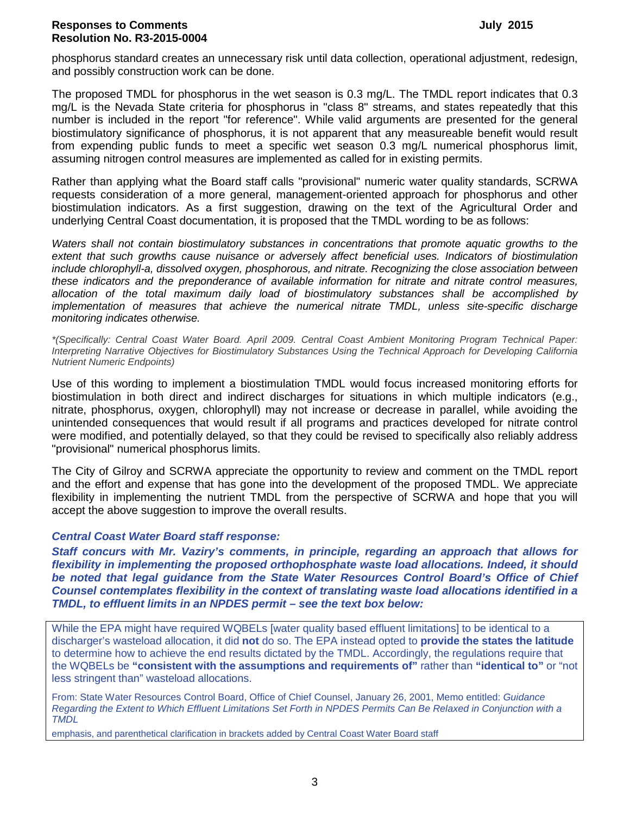phosphorus standard creates an unnecessary risk until data collection, operational adjustment, redesign, and possibly construction work can be done.

The proposed TMDL for phosphorus in the wet season is 0.3 mg/L. The TMDL report indicates that 0.3 mg/L is the Nevada State criteria for phosphorus in "class 8" streams, and states repeatedly that this number is included in the report "for reference". While valid arguments are presented for the general biostimulatory significance of phosphorus, it is not apparent that any measureable benefit would result from expending public funds to meet a specific wet season 0.3 mg/L numerical phosphorus limit, assuming nitrogen control measures are implemented as called for in existing permits.

Rather than applying what the Board staff calls "provisional" numeric water quality standards, SCRWA requests consideration of a more general, management-oriented approach for phosphorus and other biostimulation indicators. As a first suggestion, drawing on the text of the Agricultural Order and underlying Central Coast documentation, it is proposed that the TMDL wording to be as follows:

*Waters shall not contain biostimulatory substances in concentrations that promote aquatic growths to the extent that such growths cause nuisance or adversely affect beneficial uses. Indicators of biostimulation include chlorophyll-a, dissolved oxygen, phosphorous, and nitrate. Recognizing the close association between these indicators and the preponderance of available information for nitrate and nitrate control measures, allocation of the total maximum daily load of biostimulatory substances shall be accomplished by implementation of measures that achieve the numerical nitrate TMDL, unless site-specific discharge monitoring indicates otherwise.*

*\*(Specifically: Central Coast Water Board. April 2009. Central Coast Ambient Monitoring Program Technical Paper: Interpreting Narrative Objectives for Biostimulatory Substances Using the Technical Approach for Developing California Nutrient Numeric Endpoints)*

Use of this wording to implement a biostimulation TMDL would focus increased monitoring efforts for biostimulation in both direct and indirect discharges for situations in which multiple indicators (e.g., nitrate, phosphorus, oxygen, chlorophyll) may not increase or decrease in parallel, while avoiding the unintended consequences that would result if all programs and practices developed for nitrate control were modified, and potentially delayed, so that they could be revised to specifically also reliably address "provisional" numerical phosphorus limits.

The City of Gilroy and SCRWA appreciate the opportunity to review and comment on the TMDL report and the effort and expense that has gone into the development of the proposed TMDL. We appreciate flexibility in implementing the nutrient TMDL from the perspective of SCRWA and hope that you will accept the above suggestion to improve the overall results.

# *Central Coast Water Board staff response:*

*Staff concurs with Mr. Vaziry's comments, in principle, regarding an approach that allows for flexibility in implementing the proposed orthophosphate waste load allocations. Indeed, it should be noted that legal guidance from the State Water Resources Control Board's Office of Chief Counsel contemplates flexibility in the context of translating waste load allocations identified in a TMDL, to effluent limits in an NPDES permit – see the text box below:*

While the EPA might have required WQBELs [water quality based effluent limitations] to be identical to a discharger's wasteload allocation, it did **not** do so. The EPA instead opted to **provide the states the latitude** to determine how to achieve the end results dictated by the TMDL. Accordingly, the regulations require that the WQBELs be **"consistent with the assumptions and requirements of"** rather than **"identical to"** or "not less stringent than" wasteload allocations.

From: State Water Resources Control Board, Office of Chief Counsel, January 26, 2001, Memo entitled: *Guidance Regarding the Extent to Which Effluent Limitations Set Forth in NPDES Permits Can Be Relaxed in Conjunction with a TMDL*

emphasis, and parenthetical clarification in brackets added by Central Coast Water Board staff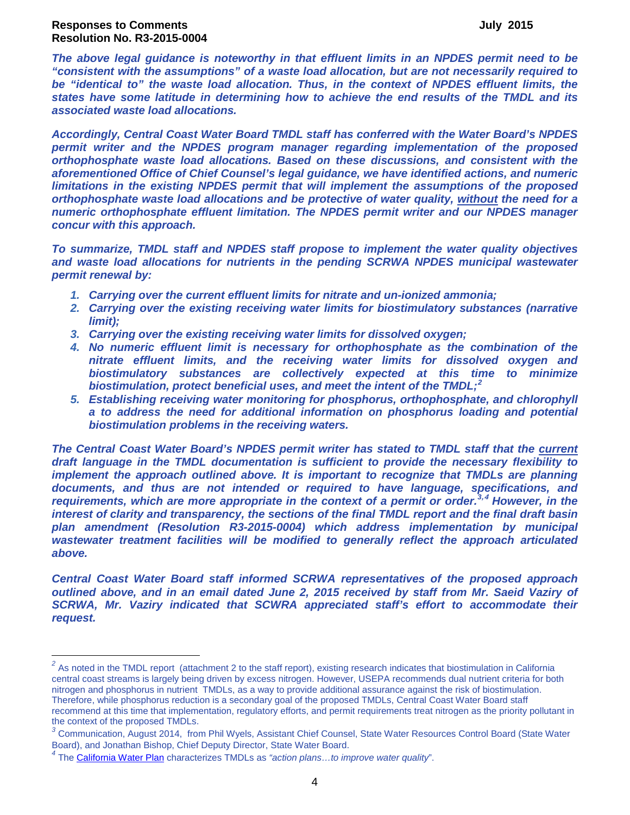*The above legal guidance is noteworthy in that effluent limits in an NPDES permit need to be "consistent with the assumptions" of a waste load allocation, but are not necessarily required to be "identical to" the waste load allocation. Thus, in the context of NPDES effluent limits, the states have some latitude in determining how to achieve the end results of the TMDL and its associated waste load allocations.* 

*Accordingly, Central Coast Water Board TMDL staff has conferred with the Water Board's NPDES permit writer and the NPDES program manager regarding implementation of the proposed orthophosphate waste load allocations. Based on these discussions, and consistent with the aforementioned Office of Chief Counsel's legal guidance, we have identified actions, and numeric limitations in the existing NPDES permit that will implement the assumptions of the proposed orthophosphate waste load allocations and be protective of water quality, without the need for a numeric orthophosphate effluent limitation. The NPDES permit writer and our NPDES manager concur with this approach.* 

*To summarize, TMDL staff and NPDES staff propose to implement the water quality objectives and waste load allocations for nutrients in the pending SCRWA NPDES municipal wastewater permit renewal by:*

- *1. Carrying over the current effluent limits for nitrate and un-ionized ammonia;*
- *2. Carrying over the existing receiving water limits for biostimulatory substances (narrative limit);*
- *3. Carrying over the existing receiving water limits for dissolved oxygen;*
- *4. No numeric effluent limit is necessary for orthophosphate as the combination of the nitrate effluent limits, and the receiving water limits for dissolved oxygen and biostimulatory substances are collectively expected at this time to minimize biostimulation, protect beneficial uses, and meet the intent of the TMDL; [2](#page-3-0)*
- *5. Establishing receiving water monitoring for phosphorus, orthophosphate, and chlorophyll a to address the need for additional information on phosphorus loading and potential biostimulation problems in the receiving waters.*

*The Central Coast Water Board's NPDES permit writer has stated to TMDL staff that the current draft language in the TMDL documentation is sufficient to provide the necessary flexibility to implement the approach outlined above. It is important to recognize that TMDLs are planning documents, and thus are not intended or required to have language, specifications, and requirements, which are more appropriate in the context of a permit or order. [3](#page-3-1)***,[4](#page-3-2)** *However, in the interest of clarity and transparency, the sections of the final TMDL report and the final draft basin plan amendment (Resolution R3-2015-0004) which address implementation by municipal wastewater treatment facilities will be modified to generally reflect the approach articulated above.*

*Central Coast Water Board staff informed SCRWA representatives of the proposed approach outlined above, and in an email dated June 2, 2015 received by staff from Mr. Saeid Vaziry of SCRWA, Mr. Vaziry indicated that SCWRA appreciated staff's effort to accommodate their request.*

<span id="page-3-0"></span><sup>&</sup>lt;sup>2</sup> As noted in the TMDL report (attachment 2 to the staff report), existing research indicates that biostimulation in California central coast streams is largely being driven by excess nitrogen. However, USEPA recommends dual nutrient criteria for both nitrogen and phosphorus in nutrient TMDLs, as a way to provide additional assurance against the risk of biostimulation. Therefore, while phosphorus reduction is a secondary goal of the proposed TMDLs, Central Coast Water Board staff recommend at this time that implementation, regulatory efforts, and permit requirements treat nitrogen as the priority pollutant in the context of the proposed TMDLs.

<span id="page-3-1"></span>*<sup>3</sup>* Communication, August 2014, from Phil Wyels, Assistant Chief Counsel, State Water Resources Control Board (State Water Board), and Jonathan Bishop, Chief Deputy Director, State Water Board.

<span id="page-3-2"></span>*<sup>4</sup>* The [California Water Plan](http://www.waterplan.water.ca.gov/docs/cwpu2013/Final/Vol2_CentralCoastRR.pdf) characterizes TMDLs as *"action plans…to improve water quality*".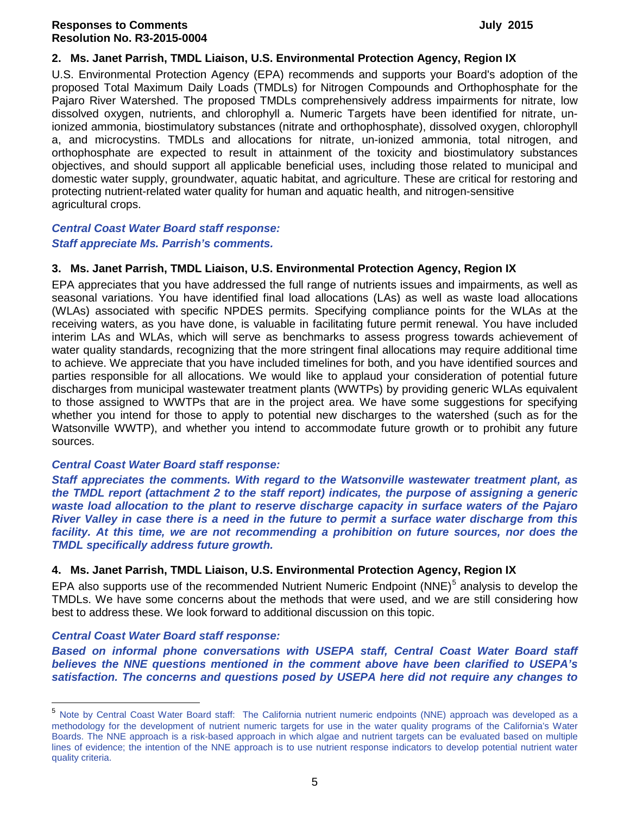#### **2. Ms. Janet Parrish, TMDL Liaison, U.S. Environmental Protection Agency, Region IX**

U.S. Environmental Protection Agency (EPA) recommends and supports your Board's adoption of the proposed Total Maximum Daily Loads (TMDLs) for Nitrogen Compounds and Orthophosphate for the Pajaro River Watershed. The proposed TMDLs comprehensively address impairments for nitrate, low dissolved oxygen, nutrients, and chlorophyll a. Numeric Targets have been identified for nitrate, unionized ammonia, biostimulatory substances (nitrate and orthophosphate), dissolved oxygen, chlorophyll a, and microcystins. TMDLs and allocations for nitrate, un-ionized ammonia, total nitrogen, and orthophosphate are expected to result in attainment of the toxicity and biostimulatory substances objectives, and should support all applicable beneficial uses, including those related to municipal and domestic water supply, groundwater, aquatic habitat, and agriculture. These are critical for restoring and protecting nutrient-related water quality for human and aquatic health, and nitrogen-sensitive agricultural crops.

#### *Central Coast Water Board staff response: Staff appreciate Ms. Parrish's comments.*

#### **3. Ms. Janet Parrish, TMDL Liaison, U.S. Environmental Protection Agency, Region IX**

EPA appreciates that you have addressed the full range of nutrients issues and impairments, as well as seasonal variations. You have identified final load allocations (LAs) as well as waste load allocations (WLAs) associated with specific NPDES permits. Specifying compliance points for the WLAs at the receiving waters, as you have done, is valuable in facilitating future permit renewal. You have included interim LAs and WLAs, which will serve as benchmarks to assess progress towards achievement of water quality standards, recognizing that the more stringent final allocations may require additional time to achieve. We appreciate that you have included timelines for both, and you have identified sources and parties responsible for all allocations. We would like to applaud your consideration of potential future discharges from municipal wastewater treatment plants (WWTPs) by providing generic WLAs equivalent to those assigned to WWTPs that are in the project area. We have some suggestions for specifying whether you intend for those to apply to potential new discharges to the watershed (such as for the Watsonville WWTP), and whether you intend to accommodate future growth or to prohibit any future sources.

#### *Central Coast Water Board staff response:*

*Staff appreciates the comments. With regard to the Watsonville wastewater treatment plant, as the TMDL report (attachment 2 to the staff report) indicates, the purpose of assigning a generic waste load allocation to the plant to reserve discharge capacity in surface waters of the Pajaro River Valley in case there is a need in the future to permit a surface water discharge from this*  facility. At this time, we are not recommending a prohibition on future sources, nor does the *TMDL specifically address future growth.* 

# **4. Ms. Janet Parrish, TMDL Liaison, U.S. Environmental Protection Agency, Region IX**

EPA also supports use of the recommended Nutrient Numeric Endpoint (NNE)<sup>[5](#page-4-0)</sup> analysis to develop the TMDLs. We have some concerns about the methods that were used, and we are still considering how best to address these. We look forward to additional discussion on this topic.

#### *Central Coast Water Board staff response:*

*Based on informal phone conversations with USEPA staff, Central Coast Water Board staff believes the NNE questions mentioned in the comment above have been clarified to USEPA's satisfaction. The concerns and questions posed by USEPA here did not require any changes to* 

<span id="page-4-0"></span><sup>&</sup>lt;sup>5</sup> Note by Central Coast Water Board staff: The California nutrient numeric endpoints (NNE) approach was developed as a methodology for the development of nutrient numeric targets for use in the water quality programs of the California's Water Boards. The NNE approach is a risk-based approach in which algae and nutrient targets can be evaluated based on multiple lines of evidence; the intention of the NNE approach is to use nutrient response indicators to develop potential nutrient water quality criteria.